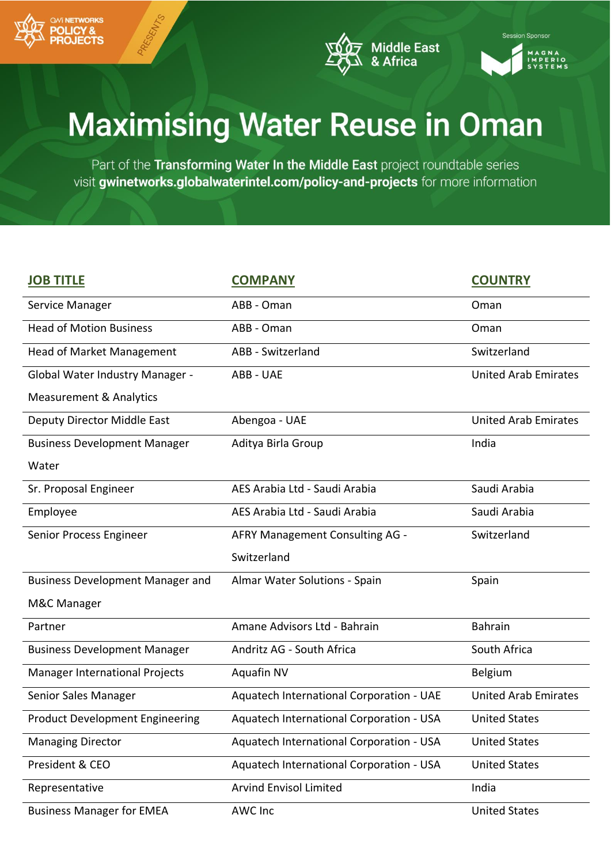





| <b>JOB TITLE</b>                        | <b>COMPANY</b>                           | <b>COUNTRY</b>              |
|-----------------------------------------|------------------------------------------|-----------------------------|
| Service Manager                         | ABB - Oman                               | Oman                        |
| <b>Head of Motion Business</b>          | ABB - Oman                               | Oman                        |
| Head of Market Management               | ABB - Switzerland                        | Switzerland                 |
| Global Water Industry Manager -         | ABB - UAE                                | <b>United Arab Emirates</b> |
| <b>Measurement &amp; Analytics</b>      |                                          |                             |
| Deputy Director Middle East             | Abengoa - UAE                            | <b>United Arab Emirates</b> |
| <b>Business Development Manager</b>     | Aditya Birla Group                       | India                       |
| Water                                   |                                          |                             |
| Sr. Proposal Engineer                   | AES Arabia Ltd - Saudi Arabia            | Saudi Arabia                |
| Employee                                | AES Arabia Ltd - Saudi Arabia            | Saudi Arabia                |
| Senior Process Engineer                 | AFRY Management Consulting AG -          | Switzerland                 |
|                                         | Switzerland                              |                             |
| <b>Business Development Manager and</b> | Almar Water Solutions - Spain            | Spain                       |
| M&C Manager                             |                                          |                             |
| Partner                                 | Amane Advisors Ltd - Bahrain             | <b>Bahrain</b>              |
| <b>Business Development Manager</b>     | Andritz AG - South Africa                | South Africa                |
| <b>Manager International Projects</b>   | Aquafin NV                               | <b>Belgium</b>              |
| Senior Sales Manager                    | Aquatech International Corporation - UAE | <b>United Arab Emirates</b> |
| <b>Product Development Engineering</b>  | Aquatech International Corporation - USA | <b>United States</b>        |
| <b>Managing Director</b>                | Aquatech International Corporation - USA | <b>United States</b>        |
| President & CEO                         | Aquatech International Corporation - USA | <b>United States</b>        |
| Representative                          | <b>Arvind Envisol Limited</b>            | India                       |
|                                         |                                          |                             |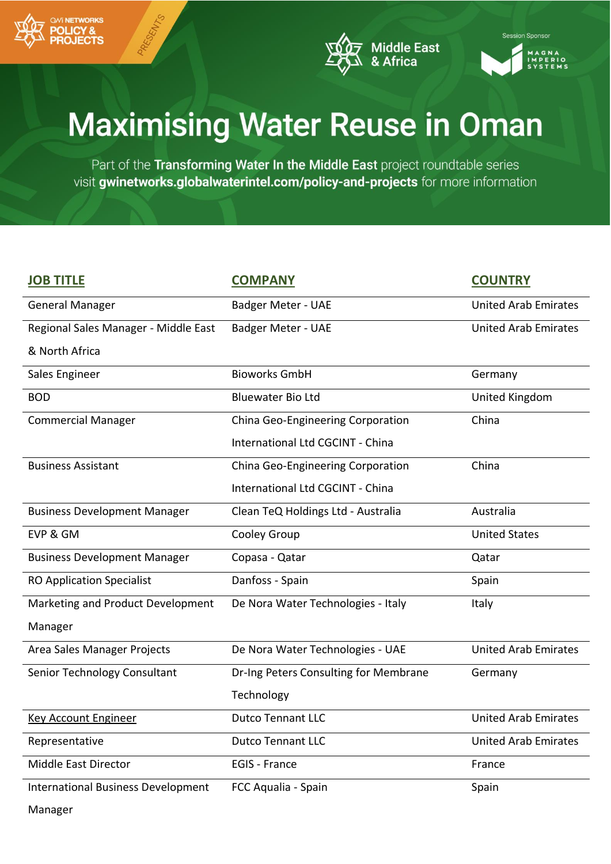





Part of the Transforming Water In the Middle East project roundtable series visit gwinetworks.globalwaterintel.com/policy-and-projects for more information

| <b>JOB TITLE</b>                          | <b>COMPANY</b>                        | <b>COUNTRY</b>              |
|-------------------------------------------|---------------------------------------|-----------------------------|
| <b>General Manager</b>                    | <b>Badger Meter - UAE</b>             | <b>United Arab Emirates</b> |
| Regional Sales Manager - Middle East      | Badger Meter - UAE                    | <b>United Arab Emirates</b> |
| & North Africa                            |                                       |                             |
| Sales Engineer                            | <b>Bioworks GmbH</b>                  | Germany                     |
| <b>BOD</b>                                | <b>Bluewater Bio Ltd</b>              | United Kingdom              |
| <b>Commercial Manager</b>                 | China Geo-Engineering Corporation     | China                       |
|                                           | International Ltd CGCINT - China      |                             |
| <b>Business Assistant</b>                 | China Geo-Engineering Corporation     | China                       |
|                                           | International Ltd CGCINT - China      |                             |
| <b>Business Development Manager</b>       | Clean TeQ Holdings Ltd - Australia    | Australia                   |
| EVP & GM                                  | Cooley Group                          | <b>United States</b>        |
| <b>Business Development Manager</b>       | Copasa - Qatar                        | Qatar                       |
| <b>RO Application Specialist</b>          | Danfoss - Spain                       | Spain                       |
| Marketing and Product Development         | De Nora Water Technologies - Italy    | Italy                       |
| Manager                                   |                                       |                             |
| Area Sales Manager Projects               | De Nora Water Technologies - UAE      | <b>United Arab Emirates</b> |
| Senior Technology Consultant              | Dr-Ing Peters Consulting for Membrane | Germany                     |
|                                           | Technology                            |                             |
| <b>Key Account Engineer</b>               | <b>Dutco Tennant LLC</b>              | <b>United Arab Emirates</b> |
| Representative                            | <b>Dutco Tennant LLC</b>              | <b>United Arab Emirates</b> |
| Middle East Director                      | <b>EGIS - France</b>                  | France                      |
| <b>International Business Development</b> | FCC Aqualia - Spain                   | Spain                       |

Manager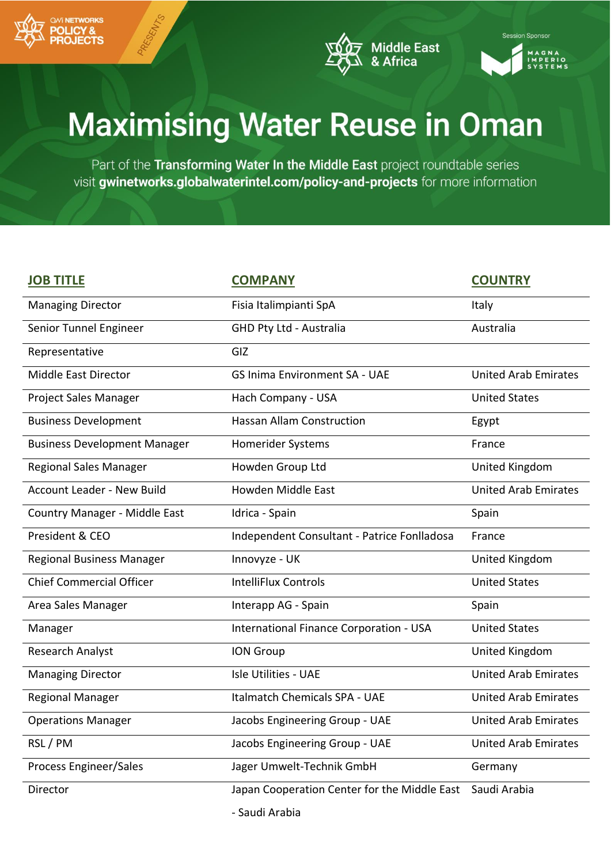





| <b>JOB TITLE</b>                    | <b>COMPANY</b>                               | <b>COUNTRY</b>              |
|-------------------------------------|----------------------------------------------|-----------------------------|
| <b>Managing Director</b>            | Fisia Italimpianti SpA                       | <b>Italy</b>                |
| Senior Tunnel Engineer              | GHD Pty Ltd - Australia                      | Australia                   |
| Representative                      | GIZ                                          |                             |
| Middle East Director                | <b>GS Inima Environment SA - UAE</b>         | <b>United Arab Emirates</b> |
| Project Sales Manager               | Hach Company - USA                           | <b>United States</b>        |
| <b>Business Development</b>         | <b>Hassan Allam Construction</b>             | Egypt                       |
| <b>Business Development Manager</b> | <b>Homerider Systems</b>                     | France                      |
| <b>Regional Sales Manager</b>       | Howden Group Ltd                             | United Kingdom              |
| <b>Account Leader - New Build</b>   | Howden Middle East                           | <b>United Arab Emirates</b> |
| Country Manager - Middle East       | Idrica - Spain                               | Spain                       |
| President & CEO                     | Independent Consultant - Patrice Fonlladosa  | France                      |
| <b>Regional Business Manager</b>    | Innovyze - UK                                | United Kingdom              |
| <b>Chief Commercial Officer</b>     | <b>IntelliFlux Controls</b>                  | <b>United States</b>        |
| Area Sales Manager                  | Interapp AG - Spain                          | Spain                       |
| Manager                             | International Finance Corporation - USA      | <b>United States</b>        |
| Research Analyst                    | <b>ION Group</b>                             | United Kingdom              |
| <b>Managing Director</b>            | <b>Isle Utilities - UAE</b>                  | <b>United Arab Emirates</b> |
| <b>Regional Manager</b>             | <b>Italmatch Chemicals SPA - UAE</b>         | <b>United Arab Emirates</b> |
| <b>Operations Manager</b>           | Jacobs Engineering Group - UAE               | <b>United Arab Emirates</b> |
| RSL / PM                            | Jacobs Engineering Group - UAE               | <b>United Arab Emirates</b> |
| Process Engineer/Sales              | Jager Umwelt-Technik GmbH                    | Germany                     |
| Director                            | Japan Cooperation Center for the Middle East | Saudi Arabia                |
|                                     | - Saudi Arabia                               |                             |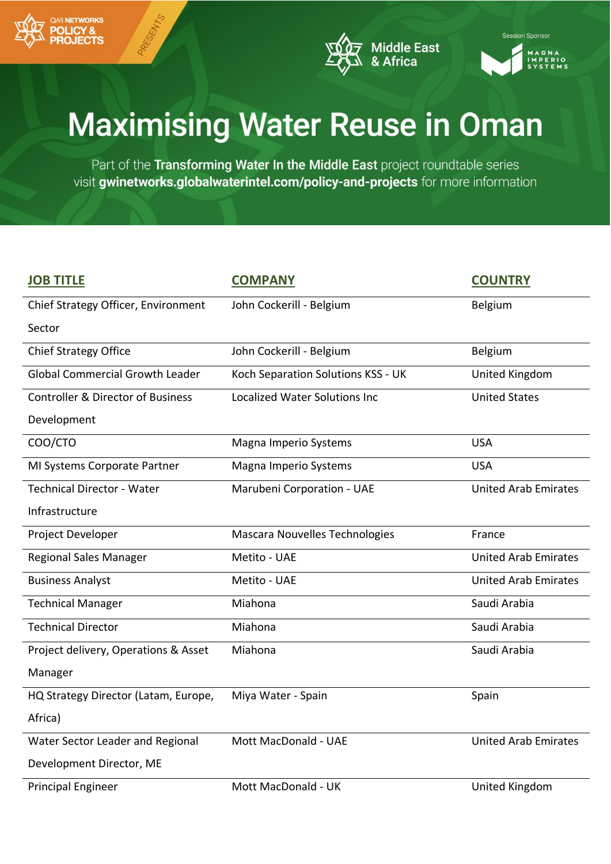





| <b>JOB TITLE</b>                             | <b>COMPANY</b>                       | <b>COUNTRY</b>              |
|----------------------------------------------|--------------------------------------|-----------------------------|
| Chief Strategy Officer, Environment          | John Cockerill - Belgium             | Belgium                     |
| Sector                                       |                                      |                             |
| <b>Chief Strategy Office</b>                 | John Cockerill - Belgium             | Belgium                     |
| <b>Global Commercial Growth Leader</b>       | Koch Separation Solutions KSS - UK   | <b>United Kingdom</b>       |
| <b>Controller &amp; Director of Business</b> | <b>Localized Water Solutions Inc</b> | <b>United States</b>        |
| Development                                  |                                      |                             |
| COO/CTO                                      | Magna Imperio Systems                | <b>USA</b>                  |
| MI Systems Corporate Partner                 | Magna Imperio Systems                | <b>USA</b>                  |
| <b>Technical Director - Water</b>            | Marubeni Corporation - UAE           | <b>United Arab Emirates</b> |
| Infrastructure                               |                                      |                             |
| Project Developer                            | Mascara Nouvelles Technologies       | France                      |
| <b>Regional Sales Manager</b>                | Metito - UAE                         | <b>United Arab Emirates</b> |
| <b>Business Analyst</b>                      | Metito - UAE                         | <b>United Arab Emirates</b> |
| <b>Technical Manager</b>                     | Miahona                              | Saudi Arabia                |
| <b>Technical Director</b>                    | Miahona                              | Saudi Arabia                |
| Project delivery, Operations & Asset         | Miahona                              | Saudi Arabia                |
| Manager                                      |                                      |                             |
| HQ Strategy Director (Latam, Europe,         | Miya Water - Spain                   | Spain                       |
| Africa)                                      |                                      |                             |
| Water Sector Leader and Regional             | Mott MacDonald - UAE                 | <b>United Arab Emirates</b> |
| Development Director, ME                     |                                      |                             |
| <b>Principal Engineer</b>                    | Mott MacDonald - UK                  | United Kingdom              |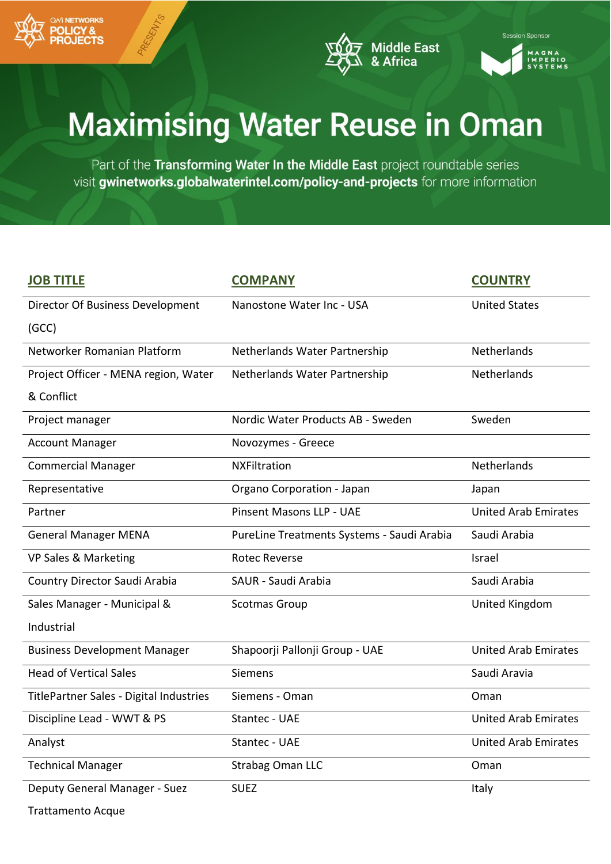





| <b>JOB TITLE</b>                        | <b>COMPANY</b>                             | <b>COUNTRY</b>              |
|-----------------------------------------|--------------------------------------------|-----------------------------|
| Director Of Business Development        | Nanostone Water Inc - USA                  | <b>United States</b>        |
| (GCC)                                   |                                            |                             |
| Networker Romanian Platform             | Netherlands Water Partnership              | Netherlands                 |
| Project Officer - MENA region, Water    | Netherlands Water Partnership              | Netherlands                 |
| & Conflict                              |                                            |                             |
| Project manager                         | Nordic Water Products AB - Sweden          | Sweden                      |
| <b>Account Manager</b>                  | Novozymes - Greece                         |                             |
| <b>Commercial Manager</b>               | <b>NXFiltration</b>                        | Netherlands                 |
| Representative                          | Organo Corporation - Japan                 | Japan                       |
| Partner                                 | <b>Pinsent Masons LLP - UAE</b>            | <b>United Arab Emirates</b> |
| <b>General Manager MENA</b>             | PureLine Treatments Systems - Saudi Arabia | Saudi Arabia                |
| VP Sales & Marketing                    | <b>Rotec Reverse</b>                       | Israel                      |
| Country Director Saudi Arabia           | SAUR - Saudi Arabia                        | Saudi Arabia                |
| Sales Manager - Municipal &             | Scotmas Group                              | United Kingdom              |
| Industrial                              |                                            |                             |
| <b>Business Development Manager</b>     | Shapoorji Pallonji Group - UAE             | <b>United Arab Emirates</b> |
| <b>Head of Vertical Sales</b>           | Siemens                                    | Saudi Aravia                |
| TitlePartner Sales - Digital Industries | Siemens - Oman                             | Oman                        |
| Discipline Lead - WWT & PS              | Stantec - UAE                              | <b>United Arab Emirates</b> |
| Analyst                                 | Stantec - UAE                              | <b>United Arab Emirates</b> |
| <b>Technical Manager</b>                | <b>Strabag Oman LLC</b>                    | Oman                        |
| Deputy General Manager - Suez           | <b>SUEZ</b>                                | Italy                       |
| <b>Trattamento Acque</b>                |                                            |                             |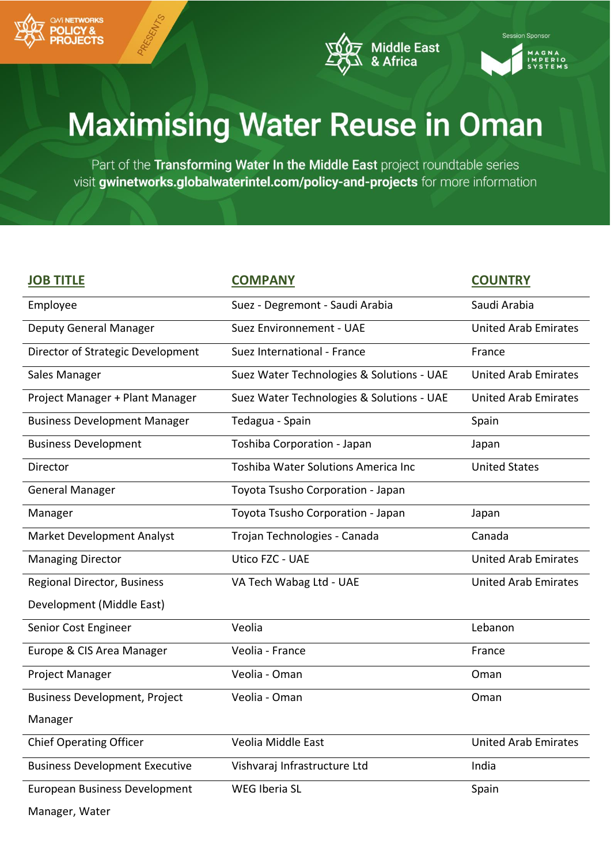





| <b>JOB TITLE</b>                      | <b>COMPANY</b>                            | <b>COUNTRY</b>              |
|---------------------------------------|-------------------------------------------|-----------------------------|
| Employee                              | Suez - Degremont - Saudi Arabia           | Saudi Arabia                |
| <b>Deputy General Manager</b>         | Suez Environnement - UAE                  | <b>United Arab Emirates</b> |
| Director of Strategic Development     | Suez International - France               | France                      |
| Sales Manager                         | Suez Water Technologies & Solutions - UAE | <b>United Arab Emirates</b> |
| Project Manager + Plant Manager       | Suez Water Technologies & Solutions - UAE | <b>United Arab Emirates</b> |
| <b>Business Development Manager</b>   | Tedagua - Spain                           | Spain                       |
| <b>Business Development</b>           | Toshiba Corporation - Japan               | Japan                       |
| Director                              | Toshiba Water Solutions America Inc       | <b>United States</b>        |
| <b>General Manager</b>                | Toyota Tsusho Corporation - Japan         |                             |
| Manager                               | Toyota Tsusho Corporation - Japan         | Japan                       |
| <b>Market Development Analyst</b>     | Trojan Technologies - Canada              | Canada                      |
| <b>Managing Director</b>              | Utico FZC - UAE                           | <b>United Arab Emirates</b> |
| <b>Regional Director, Business</b>    | VA Tech Wabag Ltd - UAE                   | <b>United Arab Emirates</b> |
| Development (Middle East)             |                                           |                             |
| Senior Cost Engineer                  | Veolia                                    | Lebanon                     |
| Europe & CIS Area Manager             | Veolia - France                           | France                      |
| Project Manager                       | Veolia - Oman                             | Oman                        |
| <b>Business Development, Project</b>  | Veolia - Oman                             | Oman                        |
| Manager                               |                                           |                             |
| <b>Chief Operating Officer</b>        | Veolia Middle East                        | <b>United Arab Emirates</b> |
| <b>Business Development Executive</b> | Vishvaraj Infrastructure Ltd              | India                       |
| European Business Development         | WEG Iberia SL                             | Spain                       |
| Manager, Water                        |                                           |                             |